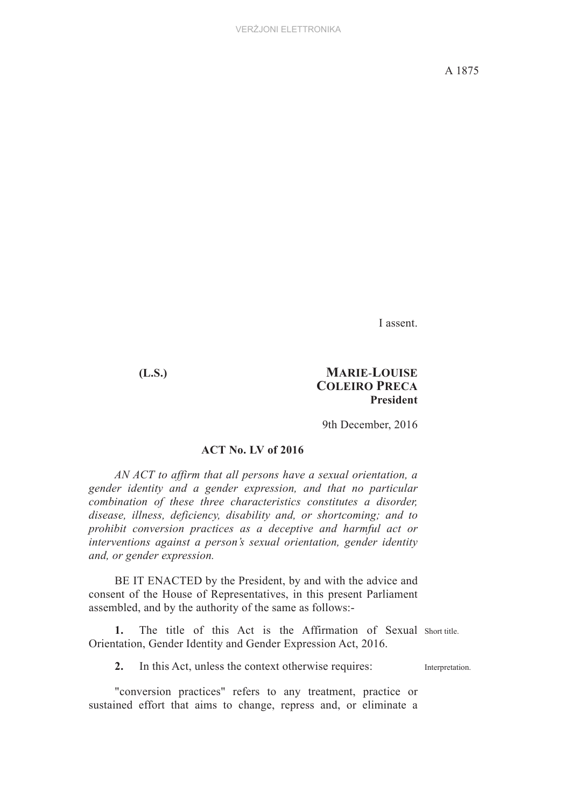I assent.

### **(L.S.) MARIE**-**LOUISE COLEIRO PRECA President**

9th December, 2016

# **ACT No. LV of 2016**

*AN ACT to affirm that all persons have a sexual orientation, a gender identity and a gender expression, and that no particular combination of these three characteristics constitutes a disorder, disease, illness, deficiency, disability and, or shortcoming; and to prohibit conversion practices as a deceptive and harmful act or interventions against a person's sexual orientation, gender identity and, or gender expression.*

BE IT ENACTED by the President, by and with the advice and consent of the House of Representatives, in this present Parliament assembled, and by the authority of the same as follows:-

1. The title of this Act is the Affirmation of Sexual Short title. Orientation, Gender Identity and Gender Expression Act, 2016.

**2.** In this Act, unless the context otherwise requires: Interpretation.

"conversion practices" refers to any treatment, practice or sustained effort that aims to change, repress and, or eliminate a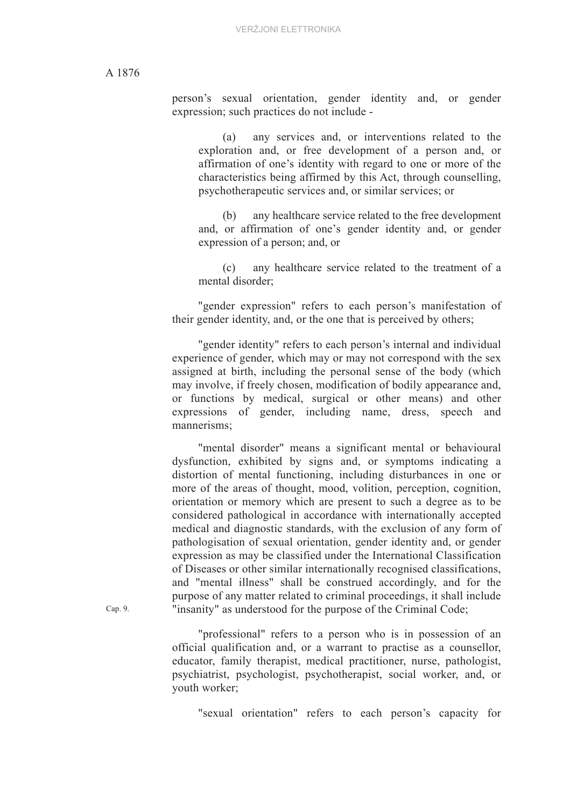A 1876

person's sexual orientation, gender identity and, or gender expression; such practices do not include -

(a) any services and, or interventions related to the exploration and, or free development of a person and, or affirmation of one's identity with regard to one or more of the characteristics being affirmed by this Act, through counselling, psychotherapeutic services and, or similar services; or

(b) any healthcare service related to the free development and, or affirmation of one's gender identity and, or gender expression of a person; and, or

(c) any healthcare service related to the treatment of a mental disorder;

"gender expression" refers to each person's manifestation of their gender identity, and, or the one that is perceived by others;

"gender identity" refers to each person's internal and individual experience of gender, which may or may not correspond with the sex assigned at birth, including the personal sense of the body (which may involve, if freely chosen, modification of bodily appearance and, or functions by medical, surgical or other means) and other expressions of gender, including name, dress, speech and mannerisms;

"mental disorder" means a significant mental or behavioural dysfunction, exhibited by signs and, or symptoms indicating a distortion of mental functioning, including disturbances in one or more of the areas of thought, mood, volition, perception, cognition, orientation or memory which are present to such a degree as to be considered pathological in accordance with internationally accepted medical and diagnostic standards, with the exclusion of any form of pathologisation of sexual orientation, gender identity and, or gender expression as may be classified under the International Classification of Diseases or other similar internationally recognised classifications, and "mental illness" shall be construed accordingly, and for the purpose of any matter related to criminal proceedings, it shall include "insanity" as understood for the purpose of the Criminal Code;

"professional" refers to a person who is in possession of an official qualification and, or a warrant to practise as a counsellor, educator, family therapist, medical practitioner, nurse, pathologist, psychiatrist, psychologist, psychotherapist, social worker, and, or youth worker;

"sexual orientation" refers to each person's capacity for

Cap. 9.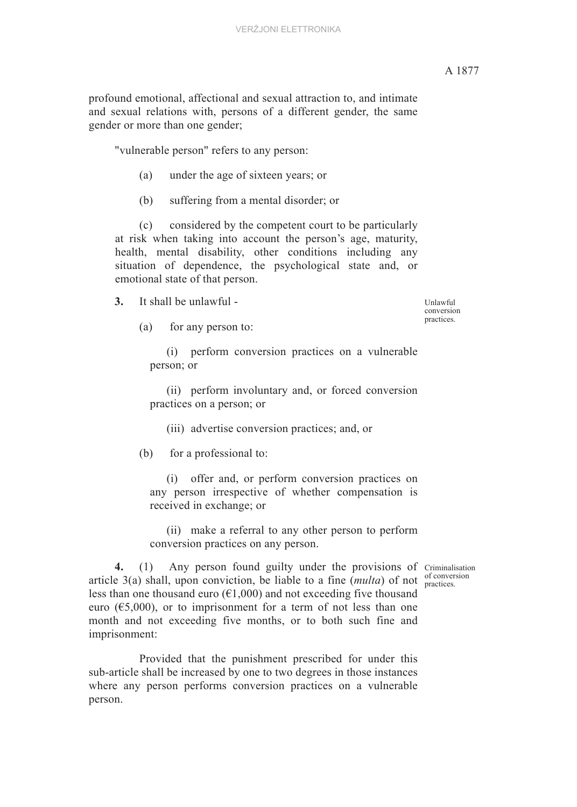# A 1877

profound emotional, affectional and sexual attraction to, and intimate and sexual relations with, persons of a different gender, the same gender or more than one gender;

"vulnerable person" refers to any person:

- (a) under the age of sixteen years; or
- (b) suffering from a mental disorder; or

(c) considered by the competent court to be particularly at risk when taking into account the person's age, maturity, health, mental disability, other conditions including any situation of dependence, the psychological state and, or emotional state of that person.

**3.** It shall be unlawful -

(a) for any person to:

(i) perform conversion practices on a vulnerable person; or

(ii) perform involuntary and, or forced conversion practices on a person; or

(iii) advertise conversion practices; and, or

(b) for a professional to:

(i) offer and, or perform conversion practices on any person irrespective of whether compensation is received in exchange; or

(ii) make a referral to any other person to perform conversion practices on any person.

of conversion

4. (1) Any person found guilty under the provisions of Criminalisation article 3(a) shall, upon conviction, be liable to a fine  $(multa)$  of not  $\frac{1}{\text{practices}}$ less than one thousand euro ( $\epsilon$ 1,000) and not exceeding five thousand euro ( $\epsilon$ 5,000), or to imprisonment for a term of not less than one month and not exceeding five months, or to both such fine and imprisonment:

Provided that the punishment prescribed for under this sub-article shall be increased by one to two degrees in those instances where any person performs conversion practices on a vulnerable person.

Unlawful conversion practices.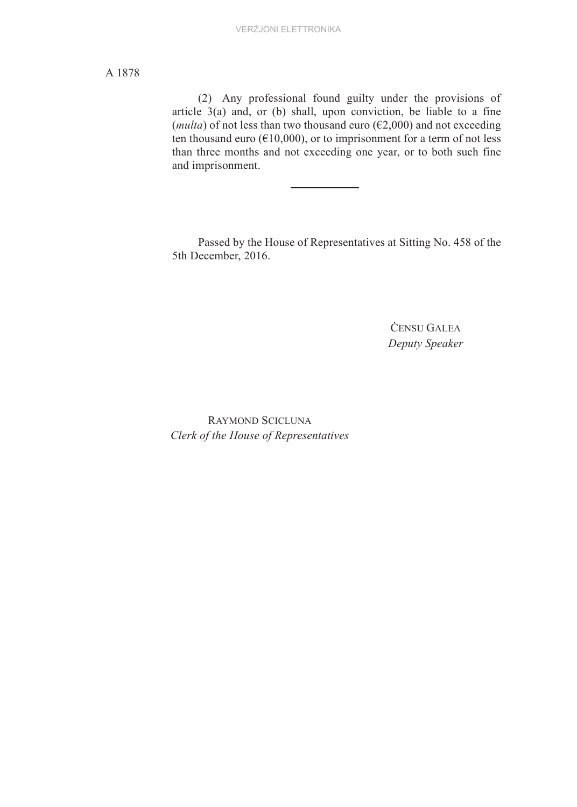# A 1878

(2) Any professional found guilty under the provisions of article 3(a) and, or (b) shall, upon conviction, be liable to a fine (*multa*) of not less than two thousand euro ( $E2,000$ ) and not exceeding ten thousand euro ( $E10,000$ ), or to imprisonment for a term of not less than three months and not exceeding one year, or to both such fine and imprisonment.

Passed by the House of Representatives at Sitting No. 458 of the 5th December, 2016.

> ĊENSU GALEA *Deputy Speaker*

RAYMOND SCICLUNA *Clerk of the House of Representatives*